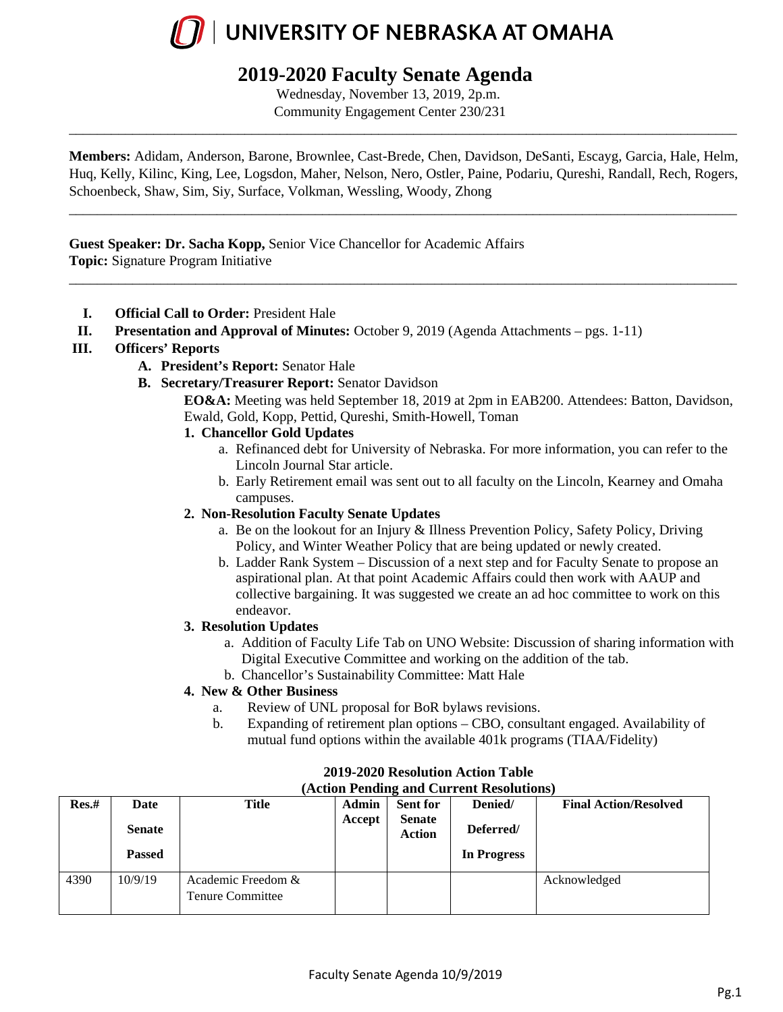

### **2019-2020 Faculty Senate Agenda**

Wednesday, November 13, 2019, 2p.m. Community Engagement Center 230/231

**Members:** Adidam, Anderson, Barone, Brownlee, Cast-Brede, Chen, Davidson, DeSanti, Escayg, Garcia, Hale, Helm, Huq, Kelly, Kilinc, King, Lee, Logsdon, Maher, Nelson, Nero, Ostler, Paine, Podariu, Qureshi, Randall, Rech, Rogers, Schoenbeck, Shaw, Sim, Siy, Surface, Volkman, Wessling, Woody, Zhong

\_\_\_\_\_\_\_\_\_\_\_\_\_\_\_\_\_\_\_\_\_\_\_\_\_\_\_\_\_\_\_\_\_\_\_\_\_\_\_\_\_\_\_\_\_\_\_\_\_\_\_\_\_\_\_\_\_\_\_\_\_\_\_\_\_\_\_\_\_\_\_\_\_\_\_\_\_\_\_\_\_\_\_\_\_\_\_\_\_\_\_\_\_\_\_

\_\_\_\_\_\_\_\_\_\_\_\_\_\_\_\_\_\_\_\_\_\_\_\_\_\_\_\_\_\_\_\_\_\_\_\_\_\_\_\_\_\_\_\_\_\_\_\_\_\_\_\_\_\_\_\_\_\_\_\_\_\_\_\_\_\_\_\_\_\_\_\_\_\_\_\_\_\_\_\_\_\_\_\_\_\_\_\_\_\_\_\_\_\_\_

\_\_\_\_\_\_\_\_\_\_\_\_\_\_\_\_\_\_\_\_\_\_\_\_\_\_\_\_\_\_\_\_\_\_\_\_\_\_\_\_\_\_\_\_\_\_\_\_\_\_\_\_\_\_\_\_\_\_\_\_\_\_\_\_\_\_\_\_\_\_\_\_\_\_\_\_\_\_\_\_\_\_\_\_\_\_\_\_\_\_\_\_\_\_\_

**Guest Speaker: Dr. Sacha Kopp,** Senior Vice Chancellor for Academic Affairs **Topic:** Signature Program Initiative

- **I. Official Call to Order:** President Hale
- **II. Presentation and Approval of Minutes:** October 9, 2019 (Agenda Attachments pgs. 1-11)

#### **III. Officers' Reports**

- **A. President's Report:** Senator Hale
- **B. Secretary/Treasurer Report:** Senator Davidson

**EO&A:** Meeting was held September 18, 2019 at 2pm in EAB200. Attendees: Batton, Davidson, Ewald, Gold, Kopp, Pettid, Qureshi, Smith-Howell, Toman

- **1. Chancellor Gold Updates**
	- a. Refinanced debt for University of Nebraska. For more information, you can refer to the Lincoln Journal Star article.
	- b. Early Retirement email was sent out to all faculty on the Lincoln, Kearney and Omaha campuses.

#### **2. Non-Resolution Faculty Senate Updates**

- a. Be on the lookout for an Injury & Illness Prevention Policy, Safety Policy, Driving Policy, and Winter Weather Policy that are being updated or newly created.
- b. Ladder Rank System Discussion of a next step and for Faculty Senate to propose an aspirational plan. At that point Academic Affairs could then work with AAUP and collective bargaining. It was suggested we create an ad hoc committee to work on this endeavor.

#### **3. Resolution Updates**

- a. Addition of Faculty Life Tab on UNO Website: Discussion of sharing information with Digital Executive Committee and working on the addition of the tab.
- b. Chancellor's Sustainability Committee: Matt Hale

#### **4. New & Other Business**

- a. Review of UNL proposal for BoR bylaws revisions.
- b. Expanding of retirement plan options CBO, consultant engaged. Availability of mutual fund options within the available 401k programs (TIAA/Fidelity)

| Action I chunig and Current Resolutions |               |                                               |              |                                |             |                              |
|-----------------------------------------|---------------|-----------------------------------------------|--------------|--------------------------------|-------------|------------------------------|
| Res.#                                   | Date          | Title                                         | <b>Admin</b> | <b>Sent for</b>                | Denied/     | <b>Final Action/Resolved</b> |
|                                         | <b>Senate</b> |                                               | Accept       | <b>Senate</b><br><b>Action</b> | Deferred/   |                              |
|                                         | <b>Passed</b> |                                               |              |                                | In Progress |                              |
| 4390                                    | 10/9/19       | Academic Freedom &<br><b>Tenure Committee</b> |              |                                |             | Acknowledged                 |

#### **2019-2020 Resolution Action Table (Action Pending and Current Resolutions)**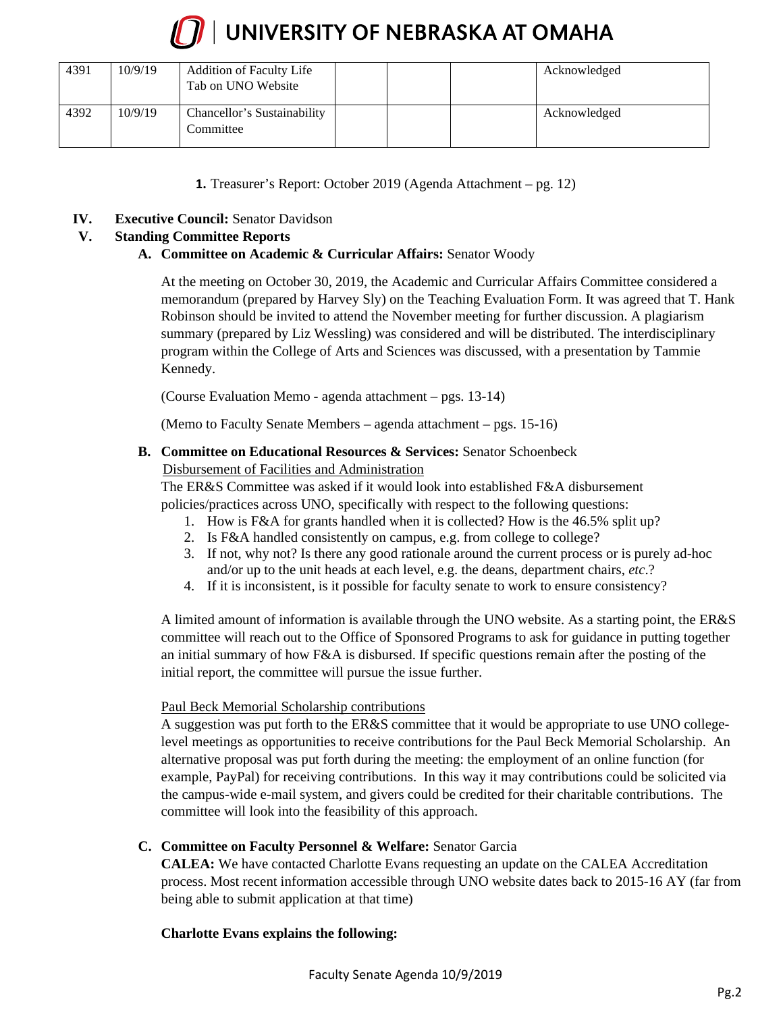

| 4391 | 10/9/19 | <b>Addition of Faculty Life</b><br>Tab on UNO Website |  | Acknowledged |
|------|---------|-------------------------------------------------------|--|--------------|
| 4392 | 10/9/19 | Chancellor's Sustainability<br>Committee              |  | Acknowledged |

**1.** Treasurer's Report: October 2019 (Agenda Attachment – pg. 12)

**IV. Executive Council:** Senator Davidson

#### **V. Standing Committee Reports**

#### **A. Committee on Academic & Curricular Affairs:** Senator Woody

At the meeting on October 30, 2019, the Academic and Curricular Affairs Committee considered a memorandum (prepared by Harvey Sly) on the Teaching Evaluation Form. It was agreed that T. Hank Robinson should be invited to attend the November meeting for further discussion. A plagiarism summary (prepared by Liz Wessling) was considered and will be distributed. The interdisciplinary program within the College of Arts and Sciences was discussed, with a presentation by Tammie Kennedy.

(Course Evaluation Memo - agenda attachment – pgs. 13-14)

(Memo to Faculty Senate Members – agenda attachment – pgs. 15-16)

#### **B. Committee on Educational Resources & Services:** Senator Schoenbeck

#### Disbursement of Facilities and Administration

The ER&S Committee was asked if it would look into established F&A disbursement policies/practices across UNO, specifically with respect to the following questions:

- 1. How is F&A for grants handled when it is collected? How is the 46.5% split up?
- 2. Is F&A handled consistently on campus, e.g. from college to college?
- 3. If not, why not? Is there any good rationale around the current process or is purely ad-hoc and/or up to the unit heads at each level, e.g. the deans, department chairs, *etc*.?
- 4. If it is inconsistent, is it possible for faculty senate to work to ensure consistency?

A limited amount of information is available through the UNO website. As a starting point, the ER&S committee will reach out to the Office of Sponsored Programs to ask for guidance in putting together an initial summary of how F&A is disbursed. If specific questions remain after the posting of the initial report, the committee will pursue the issue further.

#### Paul Beck Memorial Scholarship contributions

A suggestion was put forth to the ER&S committee that it would be appropriate to use UNO collegelevel meetings as opportunities to receive contributions for the Paul Beck Memorial Scholarship. An alternative proposal was put forth during the meeting: the employment of an online function (for example, PayPal) for receiving contributions. In this way it may contributions could be solicited via the campus-wide e-mail system, and givers could be credited for their charitable contributions. The committee will look into the feasibility of this approach.

#### **C. Committee on Faculty Personnel & Welfare:** Senator Garcia

**CALEA:** We have contacted Charlotte Evans requesting an update on the CALEA Accreditation process. Most recent information accessible through UNO website dates back to 2015-16 AY (far from being able to submit application at that time)

#### **Charlotte Evans explains the following:**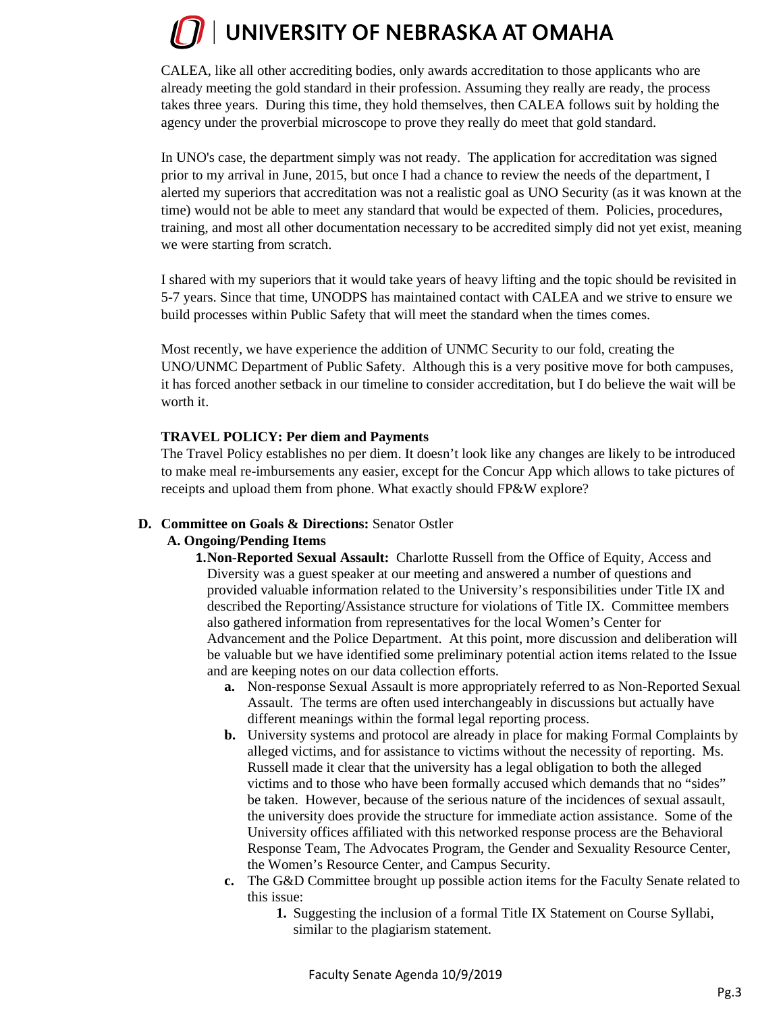CALEA, like all other accrediting bodies, only awards accreditation to those applicants who are already meeting the gold standard in their profession. Assuming they really are ready, the process takes three years. During this time, they hold themselves, then CALEA follows suit by holding the agency under the proverbial microscope to prove they really do meet that gold standard.

In UNO's case, the department simply was not ready. The application for accreditation was signed prior to my arrival in June, 2015, but once I had a chance to review the needs of the department, I alerted my superiors that accreditation was not a realistic goal as UNO Security (as it was known at the time) would not be able to meet any standard that would be expected of them. Policies, procedures, training, and most all other documentation necessary to be accredited simply did not yet exist, meaning we were starting from scratch.

I shared with my superiors that it would take years of heavy lifting and the topic should be revisited in 5-7 years. Since that time, UNODPS has maintained contact with CALEA and we strive to ensure we build processes within Public Safety that will meet the standard when the times comes.

Most recently, we have experience the addition of UNMC Security to our fold, creating the UNO/UNMC Department of Public Safety. Although this is a very positive move for both campuses, it has forced another setback in our timeline to consider accreditation, but I do believe the wait will be worth it.

#### **TRAVEL POLICY: Per diem and Payments**

The Travel Policy establishes no per diem. It doesn't look like any changes are likely to be introduced to make meal re-imbursements any easier, except for the Concur App which allows to take pictures of receipts and upload them from phone. What exactly should FP&W explore?

#### **D. Committee on Goals & Directions:** Senator Ostler

#### **A. Ongoing/Pending Items**

**1.Non-Reported Sexual Assault:** Charlotte Russell from the Office of Equity, Access and Diversity was a guest speaker at our meeting and answered a number of questions and provided valuable information related to the University's responsibilities under Title IX and described the Reporting/Assistance structure for violations of Title IX. Committee members also gathered information from representatives for the local Women's Center for Advancement and the Police Department. At this point, more discussion and deliberation will be valuable but we have identified some preliminary potential action items related to the Issue and are keeping notes on our data collection efforts.

- **a.** Non-response Sexual Assault is more appropriately referred to as Non-Reported Sexual Assault. The terms are often used interchangeably in discussions but actually have different meanings within the formal legal reporting process.
- **b.** University systems and protocol are already in place for making Formal Complaints by alleged victims, and for assistance to victims without the necessity of reporting. Ms. Russell made it clear that the university has a legal obligation to both the alleged victims and to those who have been formally accused which demands that no "sides" be taken. However, because of the serious nature of the incidences of sexual assault, the university does provide the structure for immediate action assistance. Some of the University offices affiliated with this networked response process are the Behavioral Response Team, The Advocates Program, the Gender and Sexuality Resource Center, the Women's Resource Center, and Campus Security.
- **c.** The G&D Committee brought up possible action items for the Faculty Senate related to this issue:
	- **1.** Suggesting the inclusion of a formal Title IX Statement on Course Syllabi, similar to the plagiarism statement.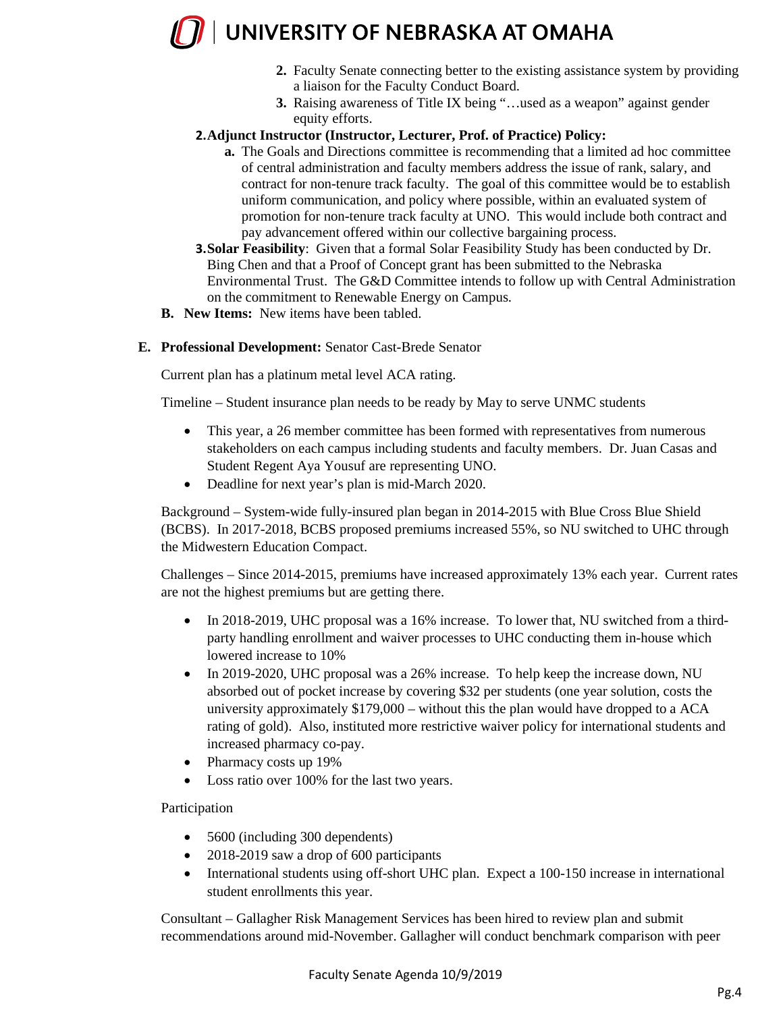## $\sqrt{ }$  UNIVERSITY OF NEBRASKA AT OMAHA

- **2.** Faculty Senate connecting better to the existing assistance system by providing a liaison for the Faculty Conduct Board.
- **3.** Raising awareness of Title IX being "…used as a weapon" against gender equity efforts.

#### **2.Adjunct Instructor (Instructor, Lecturer, Prof. of Practice) Policy:**

- **a.** The Goals and Directions committee is recommending that a limited ad hoc committee of central administration and faculty members address the issue of rank, salary, and contract for non-tenure track faculty. The goal of this committee would be to establish uniform communication, and policy where possible, within an evaluated system of promotion for non-tenure track faculty at UNO. This would include both contract and pay advancement offered within our collective bargaining process.
- **3.Solar Feasibility**: Given that a formal Solar Feasibility Study has been conducted by Dr. Bing Chen and that a Proof of Concept grant has been submitted to the Nebraska Environmental Trust. The G&D Committee intends to follow up with Central Administration on the commitment to Renewable Energy on Campus.
- **B. New Items:** New items have been tabled.
- **E. Professional Development:** Senator Cast-Brede Senator

Current plan has a platinum metal level ACA rating.

Timeline – Student insurance plan needs to be ready by May to serve UNMC students

- This year, a 26 member committee has been formed with representatives from numerous stakeholders on each campus including students and faculty members. Dr. Juan Casas and Student Regent Aya Yousuf are representing UNO.
- Deadline for next year's plan is mid-March 2020.

Background – System-wide fully-insured plan began in 2014-2015 with Blue Cross Blue Shield (BCBS). In 2017-2018, BCBS proposed premiums increased 55%, so NU switched to UHC through the Midwestern Education Compact.

Challenges – Since 2014-2015, premiums have increased approximately 13% each year. Current rates are not the highest premiums but are getting there.

- In 2018-2019, UHC proposal was a 16% increase. To lower that, NU switched from a thirdparty handling enrollment and waiver processes to UHC conducting them in-house which lowered increase to 10%
- In 2019-2020, UHC proposal was a 26% increase. To help keep the increase down, NU absorbed out of pocket increase by covering \$32 per students (one year solution, costs the university approximately \$179,000 – without this the plan would have dropped to a ACA rating of gold). Also, instituted more restrictive waiver policy for international students and increased pharmacy co-pay.
- Pharmacy costs up 19%
- Loss ratio over 100% for the last two years.

Participation

- 5600 (including 300 dependents)
- 2018-2019 saw a drop of 600 participants
- International students using off-short UHC plan. Expect a 100-150 increase in international student enrollments this year.

Consultant – Gallagher Risk Management Services has been hired to review plan and submit recommendations around mid-November. Gallagher will conduct benchmark comparison with peer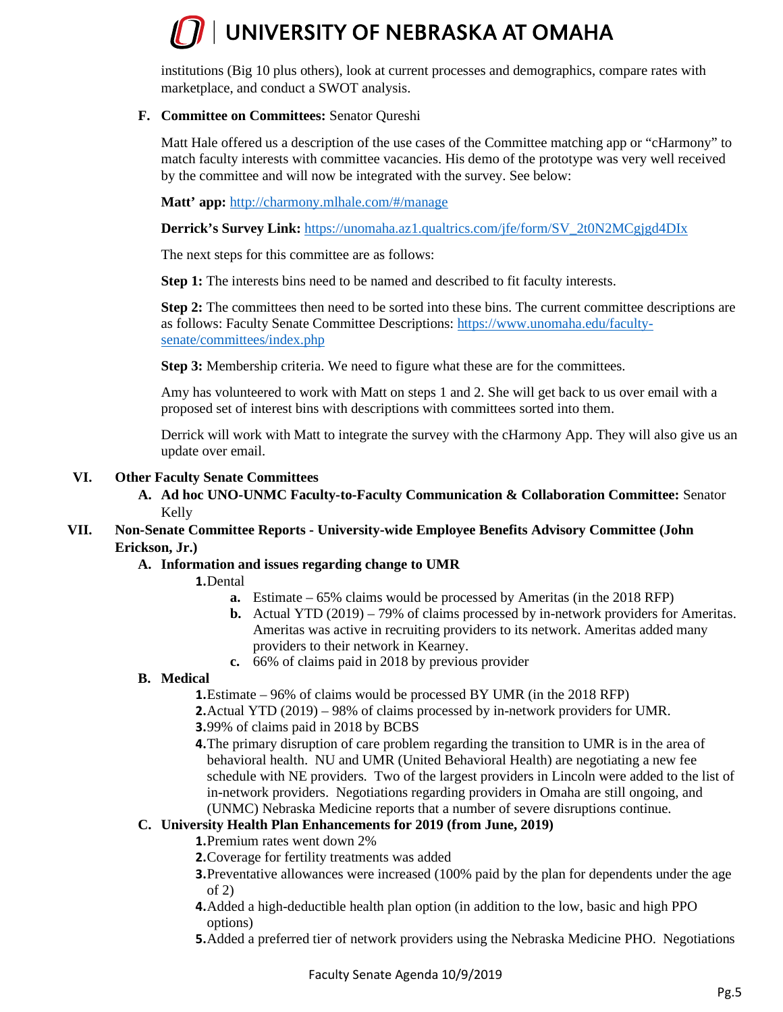institutions (Big 10 plus others), look at current processes and demographics, compare rates with marketplace, and conduct a SWOT analysis.

#### **F. Committee on Committees:** Senator Qureshi

Matt Hale offered us a description of the use cases of the Committee matching app or "cHarmony" to match faculty interests with committee vacancies. His demo of the prototype was very well received by the committee and will now be integrated with the survey. See below:

**Matt' app:** <http://charmony.mlhale.com/#/manage>

**Derrick's Survey Link:** [https://unomaha.az1.qualtrics.com/jfe/form/SV\\_2t0N2MCgjgd4DIx](https://unomaha.az1.qualtrics.com/jfe/form/SV_2t0N2MCgjgd4DIx)

The next steps for this committee are as follows:

**Step 1:** The interests bins need to be named and described to fit faculty interests.

**Step 2:** The committees then need to be sorted into these bins. The current committee descriptions are as follows: Faculty Senate Committee Descriptions: [https://www.unomaha.edu/faculty](https://www.unomaha.edu/faculty-senate/committees/index.php)[senate/committees/index.php](https://www.unomaha.edu/faculty-senate/committees/index.php)

**Step 3:** Membership criteria. We need to figure what these are for the committees.

Amy has volunteered to work with Matt on steps 1 and 2. She will get back to us over email with a proposed set of interest bins with descriptions with committees sorted into them.

Derrick will work with Matt to integrate the survey with the cHarmony App. They will also give us an update over email.

#### **VI. Other Faculty Senate Committees**

**A. Ad hoc UNO-UNMC Faculty-to-Faculty Communication & Collaboration Committee:** Senator Kelly

#### **VII. Non-Senate Committee Reports - University-wide Employee Benefits Advisory Committee (John Erickson, Jr.)**

#### **A. Information and issues regarding change to UMR**

**1.**Dental

- **a.** Estimate 65% claims would be processed by Ameritas (in the 2018 RFP)
- **b.** Actual YTD (2019) 79% of claims processed by in-network providers for Ameritas. Ameritas was active in recruiting providers to its network. Ameritas added many providers to their network in Kearney.
- **c.** 66% of claims paid in 2018 by previous provider

#### **B. Medical**

**1.**Estimate – 96% of claims would be processed BY UMR (in the 2018 RFP) **2.**Actual YTD (2019) – 98% of claims processed by in-network providers for UMR.

- **3.**99% of claims paid in 2018 by BCBS
- **4.**The primary disruption of care problem regarding the transition to UMR is in the area of behavioral health. NU and UMR (United Behavioral Health) are negotiating a new fee schedule with NE providers. Two of the largest providers in Lincoln were added to the list of in-network providers. Negotiations regarding providers in Omaha are still ongoing, and (UNMC) Nebraska Medicine reports that a number of severe disruptions continue.

#### **C. University Health Plan Enhancements for 2019 (from June, 2019)**

**1.**Premium rates went down 2%

- **2.**Coverage for fertility treatments was added
- **3.** Preventative allowances were increased (100% paid by the plan for dependents under the age of 2)
- **4.**Added a high-deductible health plan option (in addition to the low, basic and high PPO options)
- **5.**Added a preferred tier of network providers using the Nebraska Medicine PHO. Negotiations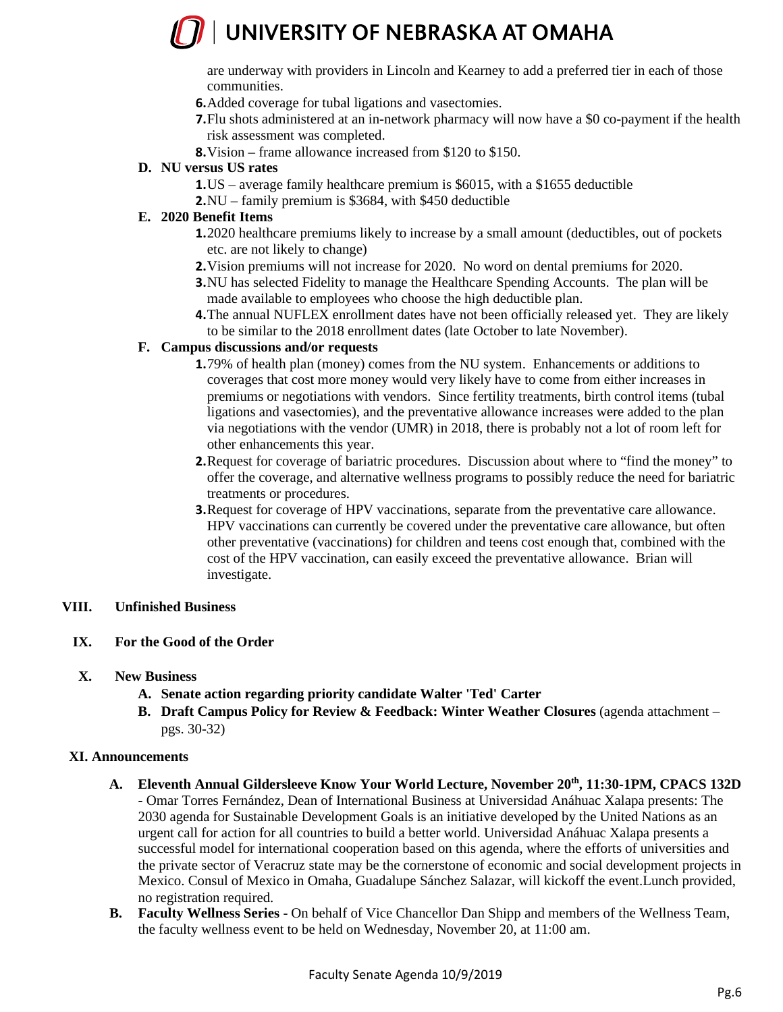are underway with providers in Lincoln and Kearney to add a preferred tier in each of those communities.

- **6.**Added coverage for tubal ligations and vasectomies.
- **7.**Flu shots administered at an in-network pharmacy will now have a \$0 co-payment if the health risk assessment was completed.
- **8.**Vision frame allowance increased from \$120 to \$150.

#### **D. NU versus US rates**

- **1.**US average family healthcare premium is \$6015, with a \$1655 deductible
- **2.**NU family premium is \$3684, with \$450 deductible

#### **E. 2020 Benefit Items**

- **1.**2020 healthcare premiums likely to increase by a small amount (deductibles, out of pockets etc. are not likely to change)
- **2.**Vision premiums will not increase for 2020. No word on dental premiums for 2020.
- **3.**NU has selected Fidelity to manage the Healthcare Spending Accounts. The plan will be made available to employees who choose the high deductible plan.
- **4.**The annual NUFLEX enrollment dates have not been officially released yet. They are likely to be similar to the 2018 enrollment dates (late October to late November).

#### **F. Campus discussions and/or requests**

- **1.**79% of health plan (money) comes from the NU system. Enhancements or additions to coverages that cost more money would very likely have to come from either increases in premiums or negotiations with vendors. Since fertility treatments, birth control items (tubal ligations and vasectomies), and the preventative allowance increases were added to the plan via negotiations with the vendor (UMR) in 2018, there is probably not a lot of room left for other enhancements this year.
- **2.**Request for coverage of bariatric procedures. Discussion about where to "find the money" to offer the coverage, and alternative wellness programs to possibly reduce the need for bariatric treatments or procedures.
- **3.**Request for coverage of HPV vaccinations, separate from the preventative care allowance. HPV vaccinations can currently be covered under the preventative care allowance, but often other preventative (vaccinations) for children and teens cost enough that, combined with the cost of the HPV vaccination, can easily exceed the preventative allowance. Brian will investigate.

#### **VIII. Unfinished Business**

#### **IX. For the Good of the Order**

- **X. New Business** 
	- **A. Senate action regarding priority candidate Walter 'Ted' Carter**
	- **B. Draft Campus Policy for Review & Feedback: Winter Weather Closures** (agenda attachment pgs. 30-32)

#### **XI. Announcements**

- **A. Eleventh Annual Gildersleeve Know Your World Lecture, November 20th, 11:30-1PM, CPACS 132D -** Omar Torres Fernández, Dean of International Business at Universidad Anáhuac Xalapa presents: The 2030 agenda for Sustainable Development Goals is an initiative developed by the United Nations as an urgent call for action for all countries to build a better world. Universidad Anáhuac Xalapa presents a successful model for international cooperation based on this agenda, where the efforts of universities and the private sector of Veracruz state may be the cornerstone of economic and social development projects in Mexico. Consul of Mexico in Omaha, Guadalupe Sánchez Salazar, will kickoff the event.Lunch provided, no registration required.
- **B. Faculty Wellness Series** On behalf of Vice Chancellor Dan Shipp and members of the Wellness Team, the faculty wellness event to be held on Wednesday, November 20, at 11:00 am.